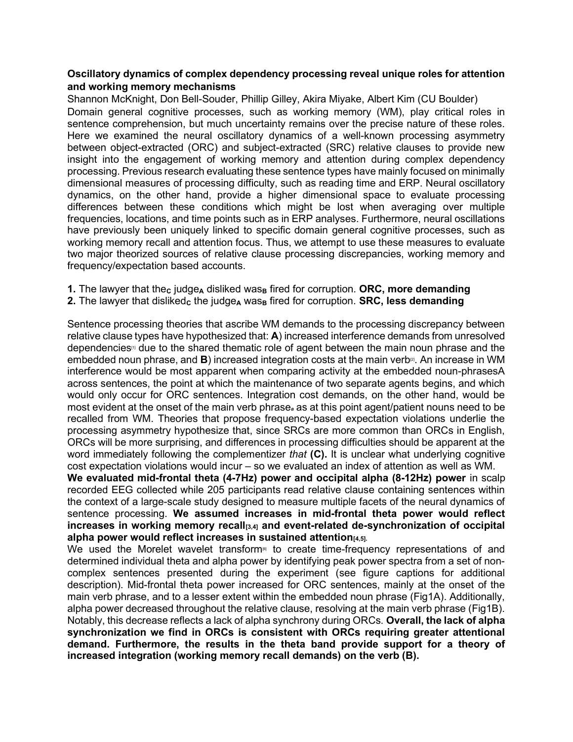## Oscillatory dynamics of complex dependency processing reveal unique roles for attention and working memory mechanisms

Shannon McKnight, Don Bell-Souder, Phillip Gilley, Akira Miyake, Albert Kim (CU Boulder) Domain general cognitive processes, such as working memory (WM), play critical roles in sentence comprehension, but much uncertainty remains over the precise nature of these roles. Here we examined the neural oscillatory dynamics of a well-known processing asymmetry between object-extracted (ORC) and subject-extracted (SRC) relative clauses to provide new insight into the engagement of working memory and attention during complex dependency processing. Previous research evaluating these sentence types have mainly focused on minimally dimensional measures of processing difficulty, such as reading time and ERP. Neural oscillatory dynamics, on the other hand, provide a higher dimensional space to evaluate processing differences between these conditions which might be lost when averaging over multiple frequencies, locations, and time points such as in ERP analyses. Furthermore, neural oscillations have previously been uniquely linked to specific domain general cognitive processes, such as working memory recall and attention focus. Thus, we attempt to use these measures to evaluate two major theorized sources of relative clause processing discrepancies, working memory and frequency/expectation based accounts.

2. The lawyer that disliked<sub>c</sub> the judge<sub>A</sub> was<sub>B</sub> fired for corruption. **SRC, less demanding** 

Sentence processing theories that ascribe WM demands to the processing discrepancy between relative clause types have hypothesized that: A) increased interference demands from unresolved dependencies<sup>®</sup> due to the shared thematic role of agent between the main noun phrase and the embedded noun phrase, and  $\bf{B}$ ) increased integration costs at the main verb<sup>[2]</sup>. An increase in WM interference would be most apparent when comparing activity at the embedded noun-phrasesA across sentences, the point at which the maintenance of two separate agents begins, and which would only occur for ORC sentences. Integration cost demands, on the other hand, would be most evident at the onset of the main verb phrase, as at this point agent/patient nouns need to be recalled from WM. Theories that propose frequency-based expectation violations underlie the processing asymmetry hypothesize that, since SRCs are more common than ORCs in English, ORCs will be more surprising, and differences in processing difficulties should be apparent at the word immediately following the complementizer *that*  $(C)$ . It is unclear what underlying cognitive cost expectation violations would incur – so we evaluated an index of attention as well as WM.

We evaluated mid-frontal theta (4-7Hz) power and occipital alpha (8-12Hz) power in scalp recorded EEG collected while 205 participants read relative clause containing sentences within the context of a large-scale study designed to measure multiple facets of the neural dynamics of sentence processing. We assumed increases in mid-frontal theta power would reflect increases in working memory recall $_{[3,4]}$  and event-related de-synchronization of occipital alpha power would reflect increases in sustained attention $[4,5]$ .

We used the Morelet wavelet transform<sup>®</sup> to create time-frequency representations of and determined individual theta and alpha power by identifying peak power spectra from a set of noncomplex sentences presented during the experiment (see figure captions for additional description). Mid-frontal theta power increased for ORC sentences, mainly at the onset of the main verb phrase, and to a lesser extent within the embedded noun phrase (Fig1A). Additionally, alpha power decreased throughout the relative clause, resolving at the main verb phrase (Fig1B). Notably, this decrease reflects a lack of alpha synchrony during ORCs. Overall, the lack of alpha synchronization we find in ORCs is consistent with ORCs requiring greater attentional demand. Furthermore, the results in the theta band provide support for a theory of increased integration (working memory recall demands) on the verb (B).

<sup>1.</sup> The lawyer that the<sub>c</sub> judge<sub>A</sub> disliked was<sub>B</sub> fired for corruption. ORC, more demanding